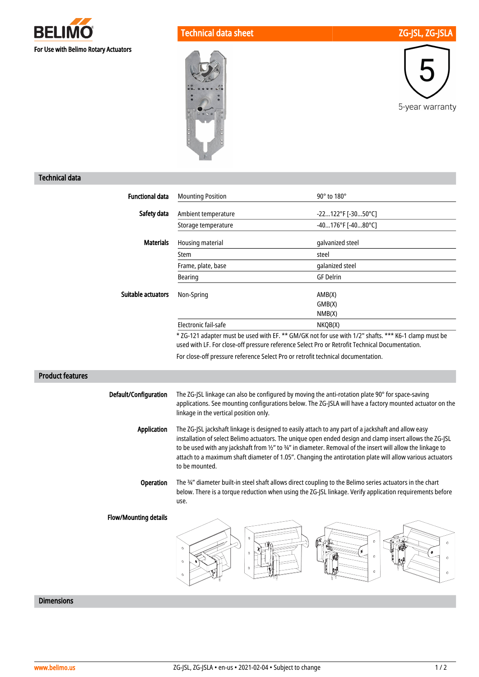

Technical data sheet ZG-JSL, ZG-JSLA

5-year warranty



## Technical data

| <b>Functional data</b>       | <b>Mounting Position</b>                                                                                                                                                                                                                                                                                                                                                                                                                                       | 90° to 180°                                                                                              |
|------------------------------|----------------------------------------------------------------------------------------------------------------------------------------------------------------------------------------------------------------------------------------------------------------------------------------------------------------------------------------------------------------------------------------------------------------------------------------------------------------|----------------------------------------------------------------------------------------------------------|
| Safety data                  | Ambient temperature                                                                                                                                                                                                                                                                                                                                                                                                                                            | -22122°F [-3050°C]                                                                                       |
|                              | Storage temperature                                                                                                                                                                                                                                                                                                                                                                                                                                            | -40176°F [-4080°C]                                                                                       |
| <b>Materials</b>             | Housing material                                                                                                                                                                                                                                                                                                                                                                                                                                               | galvanized steel                                                                                         |
|                              | Stem                                                                                                                                                                                                                                                                                                                                                                                                                                                           | steel                                                                                                    |
|                              | Frame, plate, base                                                                                                                                                                                                                                                                                                                                                                                                                                             | galanized steel                                                                                          |
|                              | <b>Bearing</b>                                                                                                                                                                                                                                                                                                                                                                                                                                                 | <b>GF Delrin</b>                                                                                         |
| Suitable actuators           | Non-Spring                                                                                                                                                                                                                                                                                                                                                                                                                                                     | AMB(X)<br>GMB(X)<br>NMB(X)                                                                               |
|                              | Electronic fail-safe                                                                                                                                                                                                                                                                                                                                                                                                                                           | NKQB(X)                                                                                                  |
|                              | used with LF. For close-off pressure reference Select Pro or Retrofit Technical Documentation.                                                                                                                                                                                                                                                                                                                                                                 | * ZG-121 adapter must be used with EF. ** GM/GK not for use with 1/2" shafts. *** K6-1 clamp must be     |
|                              | For close-off pressure reference Select Pro or retrofit technical documentation.                                                                                                                                                                                                                                                                                                                                                                               |                                                                                                          |
| <b>Product features</b>      |                                                                                                                                                                                                                                                                                                                                                                                                                                                                |                                                                                                          |
| Default/Configuration        | The ZG-JSL linkage can also be configured by moving the anti-rotation plate 90° for space-saving<br>linkage in the vertical position only.                                                                                                                                                                                                                                                                                                                     | applications. See mounting configurations below. The ZG-JSLA will have a factory mounted actuator on the |
| <b>Application</b>           | The ZG-JSL jackshaft linkage is designed to easily attach to any part of a jackshaft and allow easy<br>installation of select Belimo actuators. The unique open ended design and clamp insert allows the ZG-JSL<br>to be used with any jackshaft from 1/2" to 3/4" in diameter. Removal of the insert will allow the linkage to<br>attach to a maximum shaft diameter of 1.05". Changing the antirotation plate will allow various actuators<br>to be mounted. |                                                                                                          |
| Operation                    | The 34" diameter built-in steel shaft allows direct coupling to the Belimo series actuators in the chart<br>use.                                                                                                                                                                                                                                                                                                                                               | below. There is a torque reduction when using the ZG-JSL linkage. Verify application requirements before |
| <b>Flow/Mounting details</b> | $\theta$<br>$\alpha$<br>¢                                                                                                                                                                                                                                                                                                                                                                                                                                      | Ò<br>$\circ$<br>w<br>$\mathbb{O}$<br>$\circ$<br>Ø.<br>$\mathbf{C}$                                       |

## Dimensions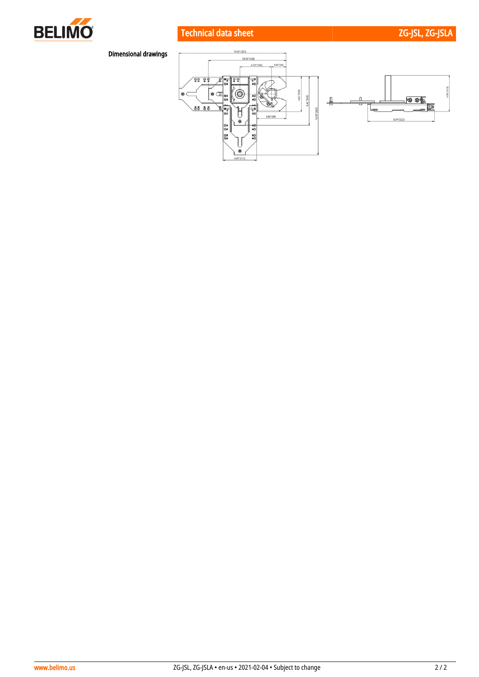

# Technical data sheet ZG-JSLA ZG-JSLA

# Dimensional drawings

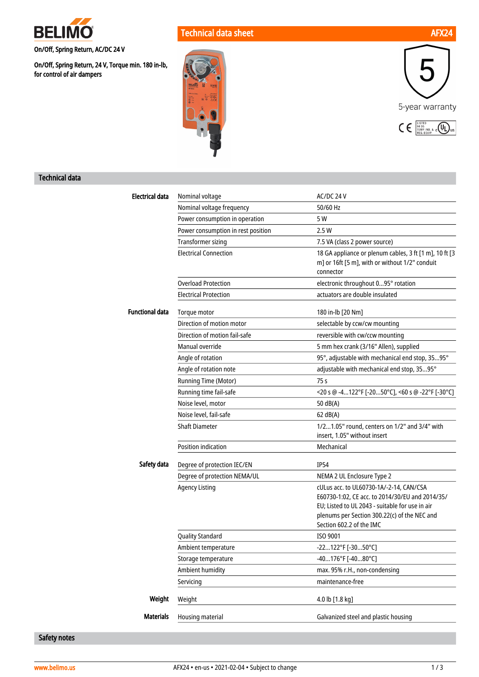

On/Off, Spring Return, AC/DC 24 V

On/Off, Spring Return, 24 V, Torque min. 180 in-lb, for control of air dampers







#### Technical data

| <b>Electrical data</b> | Nominal voltage                    | AC/DC 24 V                                                                                                                                                                                                                |
|------------------------|------------------------------------|---------------------------------------------------------------------------------------------------------------------------------------------------------------------------------------------------------------------------|
|                        | Nominal voltage frequency          | 50/60 Hz                                                                                                                                                                                                                  |
|                        | Power consumption in operation     | 5 W                                                                                                                                                                                                                       |
|                        | Power consumption in rest position | 2.5 W                                                                                                                                                                                                                     |
|                        | <b>Transformer sizing</b>          | 7.5 VA (class 2 power source)                                                                                                                                                                                             |
|                        | <b>Electrical Connection</b>       | 18 GA appliance or plenum cables, 3 ft [1 m], 10 ft [3<br>m] or 16ft [5 m], with or without 1/2" conduit<br>connector                                                                                                     |
|                        | <b>Overload Protection</b>         | electronic throughout 095° rotation                                                                                                                                                                                       |
|                        | <b>Electrical Protection</b>       | actuators are double insulated                                                                                                                                                                                            |
| <b>Functional data</b> | Torque motor                       | 180 in-lb [20 Nm]                                                                                                                                                                                                         |
|                        | Direction of motion motor          | selectable by ccw/cw mounting                                                                                                                                                                                             |
|                        | Direction of motion fail-safe      | reversible with cw/ccw mounting                                                                                                                                                                                           |
|                        | Manual override                    | 5 mm hex crank (3/16" Allen), supplied                                                                                                                                                                                    |
|                        | Angle of rotation                  | 95°, adjustable with mechanical end stop, 3595°                                                                                                                                                                           |
|                        | Angle of rotation note             | adjustable with mechanical end stop, 3595°                                                                                                                                                                                |
|                        | Running Time (Motor)               | 75 s                                                                                                                                                                                                                      |
|                        | Running time fail-safe             | <20 s @ -4122°F [-2050°C], <60 s @ -22°F [-30°C]                                                                                                                                                                          |
|                        | Noise level, motor                 | 50 dB(A)                                                                                                                                                                                                                  |
|                        | Noise level, fail-safe             | 62 dB(A)                                                                                                                                                                                                                  |
|                        | <b>Shaft Diameter</b>              | 1/21.05" round, centers on 1/2" and 3/4" with<br>insert, 1.05" without insert                                                                                                                                             |
|                        | Position indication                | Mechanical                                                                                                                                                                                                                |
| Safety data            | Degree of protection IEC/EN        | <b>IP54</b>                                                                                                                                                                                                               |
|                        | Degree of protection NEMA/UL       | NEMA 2 UL Enclosure Type 2                                                                                                                                                                                                |
|                        | <b>Agency Listing</b>              | cULus acc. to UL60730-1A/-2-14, CAN/CSA<br>E60730-1:02, CE acc. to 2014/30/EU and 2014/35/<br>EU; Listed to UL 2043 - suitable for use in air<br>plenums per Section 300.22(c) of the NEC and<br>Section 602.2 of the IMC |
|                        | <b>Quality Standard</b>            | ISO 9001                                                                                                                                                                                                                  |
|                        | Ambient temperature                | -22122°F [-3050°C]                                                                                                                                                                                                        |
|                        | Storage temperature                | -40176°F [-4080°C]                                                                                                                                                                                                        |
|                        | Ambient humidity                   | max. 95% r.H., non-condensing                                                                                                                                                                                             |
|                        | Servicing                          | maintenance-free                                                                                                                                                                                                          |
| Weight                 | Weight                             | 4.0 lb $[1.8 \text{ kg}]$                                                                                                                                                                                                 |
| <b>Materials</b>       | Housing material                   | Galvanized steel and plastic housing                                                                                                                                                                                      |

### Safety notes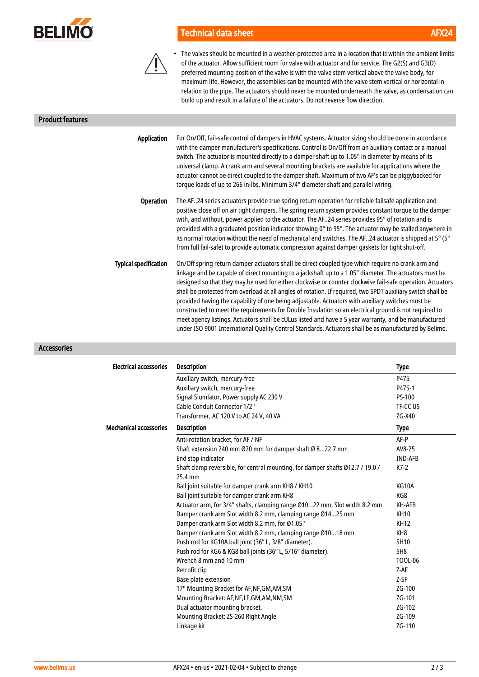

# Technical data sheet AFX24



• The valves should be mounted in a weather-protected area in a location that is within the ambient limits of the actuator. Allow sufficient room for valve with actuator and for service. The G2(S) and G3(D) preferred mounting position of the valve is with the valve stem vertical above the valve body, for maximum life. However, the assemblies can be mounted with the valve stem vertical or horizontal in relation to the pipe. The actuators should never be mounted underneath the valve, as condensation can build up and result in a failure of the actuators. Do not reverse flow direction.

Product features

| Application                  | For On/Off, fail-safe control of dampers in HVAC systems. Actuator sizing should be done in accordance<br>with the damper manufacturer's specifications. Control is On/Off from an auxiliary contact or a manual<br>switch. The actuator is mounted directly to a damper shaft up to 1.05" in diameter by means of its<br>universal clamp. A crank arm and several mounting brackets are available for applications where the<br>actuator cannot be direct coupled to the damper shaft. Maximum of two AF's can be piggybacked for<br>torque loads of up to 266 in-lbs. Minimum 3/4" diameter shaft and parallel wiring.                                                                                                                                                                                                                                                 |
|------------------------------|--------------------------------------------------------------------------------------------------------------------------------------------------------------------------------------------------------------------------------------------------------------------------------------------------------------------------------------------------------------------------------------------------------------------------------------------------------------------------------------------------------------------------------------------------------------------------------------------------------------------------------------------------------------------------------------------------------------------------------------------------------------------------------------------------------------------------------------------------------------------------|
| <b>Operation</b>             | The AF24 series actuators provide true spring return operation for reliable failsafe application and<br>positive close off on air tight dampers. The spring return system provides constant torque to the damper<br>with, and without, power applied to the actuator. The AF24 series provides 95° of rotation and is<br>provided with a graduated position indicator showing 0° to 95°. The actuator may be stalled anywhere in<br>its normal rotation without the need of mechanical end switches. The AF24 actuator is shipped at 5° (5°<br>from full fail-safe) to provide automatic compression against damper gaskets for tight shut-off.                                                                                                                                                                                                                          |
| <b>Typical specification</b> | On/Off spring return damper actuators shall be direct coupled type which require no crank arm and<br>linkage and be capable of direct mounting to a jackshaft up to a 1.05" diameter. The actuators must be<br>designed so that they may be used for either clockwise or counter clockwise fail-safe operation. Actuators<br>shall be protected from overload at all angles of rotation. If required, two SPDT auxiliary switch shall be<br>provided having the capability of one being adjustable. Actuators with auxiliary switches must be<br>constructed to meet the requirements for Double Insulation so an electrical ground is not required to<br>meet agency listings. Actuators shall be cULus listed and have a 5 year warranty, and be manufactured<br>under ISO 9001 International Quality Control Standards. Actuators shall be as manufactured by Belimo. |

Accessories

| <b>Electrical accessories</b> | <b>Description</b>                                                             | <b>Type</b>     |
|-------------------------------|--------------------------------------------------------------------------------|-----------------|
|                               | Auxiliary switch, mercury-free                                                 | P475            |
|                               | Auxiliary switch, mercury-free                                                 | P475-1          |
|                               | Signal Siumlator, Power supply AC 230 V                                        | PS-100          |
|                               | Cable Conduit Connector 1/2"                                                   | TF-CC US        |
|                               | Transformer, AC 120 V to AC 24 V, 40 VA                                        | ZG-X40          |
| <b>Mechanical accessories</b> | <b>Description</b>                                                             | <b>Type</b>     |
|                               | Anti-rotation bracket, for AF / NF                                             | $AF-P$          |
|                               | Shaft extension 240 mm Ø20 mm for damper shaft Ø 822.7 mm                      | AV8-25          |
|                               | End stop indicator                                                             | <b>IND-AFB</b>  |
|                               | Shaft clamp reversible, for central mounting, for damper shafts Ø12.7 / 19.0 / | $K7-2$          |
|                               | 25.4 mm                                                                        |                 |
|                               | Ball joint suitable for damper crank arm KH8 / KH10                            | KG10A           |
|                               | Ball joint suitable for damper crank arm KH8                                   | KG8             |
|                               | Actuator arm, for 3/4" shafts, clamping range Ø1022 mm, Slot width 8.2 mm      | KH-AFB          |
|                               | Damper crank arm Slot width 8.2 mm, clamping range Ø1425 mm                    | <b>KH10</b>     |
|                               | Damper crank arm Slot width 8.2 mm, for Ø1.05"                                 | <b>KH12</b>     |
|                               | Damper crank arm Slot width 8.2 mm, clamping range Ø1018 mm                    | KH8             |
|                               | Push rod for KG10A ball joint (36" L, 3/8" diameter).                          | <b>SH10</b>     |
|                               | Push rod for KG6 & KG8 ball joints (36" L, 5/16" diameter).                    | SH <sub>8</sub> |
|                               | Wrench 8 mm and 10 mm                                                          | <b>TOOL-06</b>  |
|                               | Retrofit clip                                                                  | $Z-AF$          |
|                               | Base plate extension                                                           | $Z-SF$          |
|                               | 17" Mounting Bracket for AF, NF, GM, AM, SM                                    | ZG-100          |
|                               | Mounting Bracket: AF, NF, LF, GM, AM, NM, SM                                   | ZG-101          |
|                               | Dual actuator mounting bracket.                                                | ZG-102          |
|                               | Mounting Bracket: ZS-260 Right Angle                                           | ZG-109          |
|                               | Linkage kit                                                                    | ZG-110          |